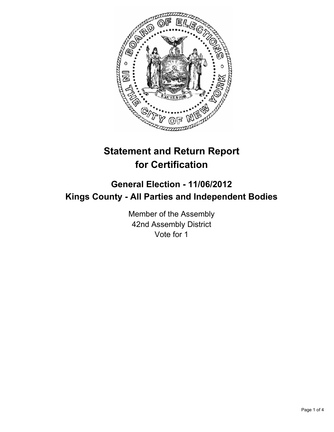

# **Statement and Return Report for Certification**

## **General Election - 11/06/2012 Kings County - All Parties and Independent Bodies**

Member of the Assembly 42nd Assembly District Vote for 1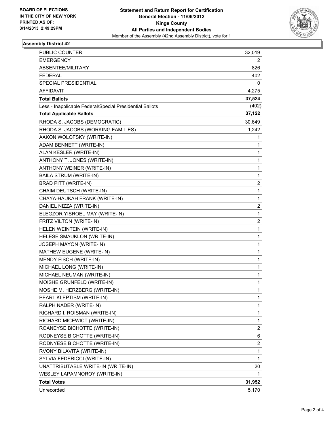

#### **Assembly District 42**

| <b>PUBLIC COUNTER</b>                                    | 32,019                  |
|----------------------------------------------------------|-------------------------|
| <b>EMERGENCY</b>                                         | 2                       |
| ABSENTEE/MILITARY                                        | 826                     |
| <b>FEDERAL</b>                                           | 402                     |
| SPECIAL PRESIDENTIAL                                     | 0                       |
| AFFIDAVIT                                                | 4,275                   |
| <b>Total Ballots</b>                                     | 37,524                  |
| Less - Inapplicable Federal/Special Presidential Ballots | (402)                   |
| <b>Total Applicable Ballots</b>                          | 37,122                  |
| RHODA S. JACOBS (DEMOCRATIC)                             | 30,649                  |
| RHODA S. JACOBS (WORKING FAMILIES)                       | 1,242                   |
| AAKON WOLOFSKY (WRITE-IN)                                | 1                       |
| ADAM BENNETT (WRITE-IN)                                  | 1                       |
| ALAN KESLER (WRITE-IN)                                   | 1                       |
| ANTHONY T. JONES (WRITE-IN)                              | 1                       |
| ANTHONY WEINER (WRITE-IN)                                | 1                       |
| <b>BAILA STRUM (WRITE-IN)</b>                            | 1                       |
| <b>BRAD PITT (WRITE-IN)</b>                              | $\overline{\mathbf{c}}$ |
| CHAIM DEUTSCH (WRITE-IN)                                 | 1                       |
| CHAYA-HAUKAH FRANK (WRITE-IN)                            | 1                       |
| DANIEL NIZZA (WRITE-IN)                                  | $\overline{\mathbf{c}}$ |
| ELEGZOR YISROEL MAY (WRITE-IN)                           | 1                       |
| FRITZ VILTON (WRITE-IN)                                  | 2                       |
| HELEN WEINTEIN (WRITE-IN)                                | 1                       |
| HELESE SMAUKLON (WRITE-IN)                               | 1                       |
| JOSEPH MAYON (WRITE-IN)                                  | 1                       |
| MATHEW EUGENE (WRITE-IN)                                 | 1                       |
| MENDY FISCH (WRITE-IN)                                   | 1                       |
| MICHAEL LONG (WRITE-IN)                                  | 1                       |
| MICHAEL NEUMAN (WRITE-IN)                                | 1                       |
| MOISHE GRUNFELD (WRITE-IN)                               | 1                       |
| MOSHE M. HERZBERG (WRITE-IN)                             | 1                       |
| PEARL KLEPTISM (WRITE-IN)                                | 1                       |
| RALPH NADER (WRITE-IN)                                   | 1                       |
| RICHARD I. ROISMAN (WRITE-IN)                            | 1                       |
| RICHARD MICEWICT (WRITE-IN)                              | 1                       |
| ROANEYSE BICHOTTE (WRITE-IN)                             | 2                       |
| RODNEYSE BICHOTTE (WRITE-IN)                             | 6                       |
| RODNYESE BICHOTTE (WRITE-IN)                             | $\overline{\mathbf{c}}$ |
| RVONY BILAVITA (WRITE-IN)                                | 1                       |
| SYLVIA FEDERICCI (WRITE-IN)                              | 1                       |
| UNATTRIBUTABLE WRITE-IN (WRITE-IN)                       | 20                      |
| WESLEY LAPAMNOROY (WRITE-IN)                             | 1                       |
| <b>Total Votes</b>                                       | 31,952                  |
| Unrecorded                                               | 5,170                   |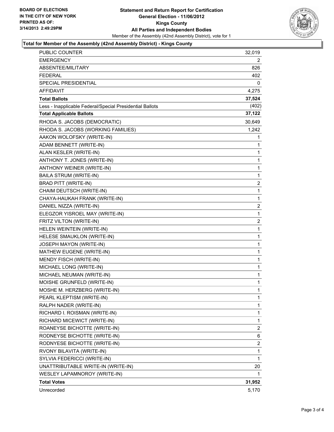

#### **Total for Member of the Assembly (42nd Assembly District) - Kings County**

| PUBLIC COUNTER                                           | 32,019         |
|----------------------------------------------------------|----------------|
| <b>EMERGENCY</b>                                         | 2              |
| ABSENTEE/MILITARY                                        | 826            |
| FEDERAL                                                  | 402            |
| SPECIAL PRESIDENTIAL                                     | 0              |
| AFFIDAVIT                                                | 4,275          |
| <b>Total Ballots</b>                                     | 37,524         |
| Less - Inapplicable Federal/Special Presidential Ballots | (402)          |
| <b>Total Applicable Ballots</b>                          | 37,122         |
| RHODA S. JACOBS (DEMOCRATIC)                             | 30,649         |
| RHODA S. JACOBS (WORKING FAMILIES)                       | 1,242          |
| AAKON WOLOFSKY (WRITE-IN)                                | 1              |
| ADAM BENNETT (WRITE-IN)                                  | 1              |
| ALAN KESLER (WRITE-IN)                                   | 1              |
| ANTHONY T. JONES (WRITE-IN)                              | 1              |
| ANTHONY WEINER (WRITE-IN)                                | 1              |
| BAILA STRUM (WRITE-IN)                                   | $\mathbf{1}$   |
| <b>BRAD PITT (WRITE-IN)</b>                              | 2              |
| CHAIM DEUTSCH (WRITE-IN)                                 | 1              |
| CHAYA-HAUKAH FRANK (WRITE-IN)                            | $\mathbf 1$    |
| DANIEL NIZZA (WRITE-IN)                                  | $\overline{c}$ |
| ELEGZOR YISROEL MAY (WRITE-IN)                           | 1              |
| FRITZ VILTON (WRITE-IN)                                  | 2              |
| HELEN WEINTEIN (WRITE-IN)                                | $\mathbf 1$    |
| HELESE SMAUKLON (WRITE-IN)                               | 1              |
| JOSEPH MAYON (WRITE-IN)                                  | 1              |
| MATHEW EUGENE (WRITE-IN)                                 | 1              |
| MENDY FISCH (WRITE-IN)                                   | 1              |
| MICHAEL LONG (WRITE-IN)                                  | 1              |
| MICHAEL NEUMAN (WRITE-IN)                                | $\mathbf 1$    |
| MOISHE GRUNFELD (WRITE-IN)                               | 1              |
| MOSHE M. HERZBERG (WRITE-IN)                             | 1              |
| PEARL KLEPTISM (WRITE-IN)                                | 1              |
| RALPH NADER (WRITE-IN)                                   | 1              |
| RICHARD I. ROISMAN (WRITE-IN)                            | 1              |
| RICHARD MICEWICT (WRITE-IN)                              | 1              |
| ROANEYSE BICHOTTE (WRITE-IN)                             | 2              |
| RODNEYSE BICHOTTE (WRITE-IN)                             | 6              |
| RODNYESE BICHOTTE (WRITE-IN)                             | 2              |
| RVONY BILAVITA (WRITE-IN)                                | 1              |
| SYLVIA FEDERICCI (WRITE-IN)                              | 1              |
| UNATTRIBUTABLE WRITE-IN (WRITE-IN)                       | 20             |
| WESLEY LAPAMNOROY (WRITE-IN)                             | 1              |
| <b>Total Votes</b>                                       | 31,952         |
| Unrecorded                                               | 5,170          |